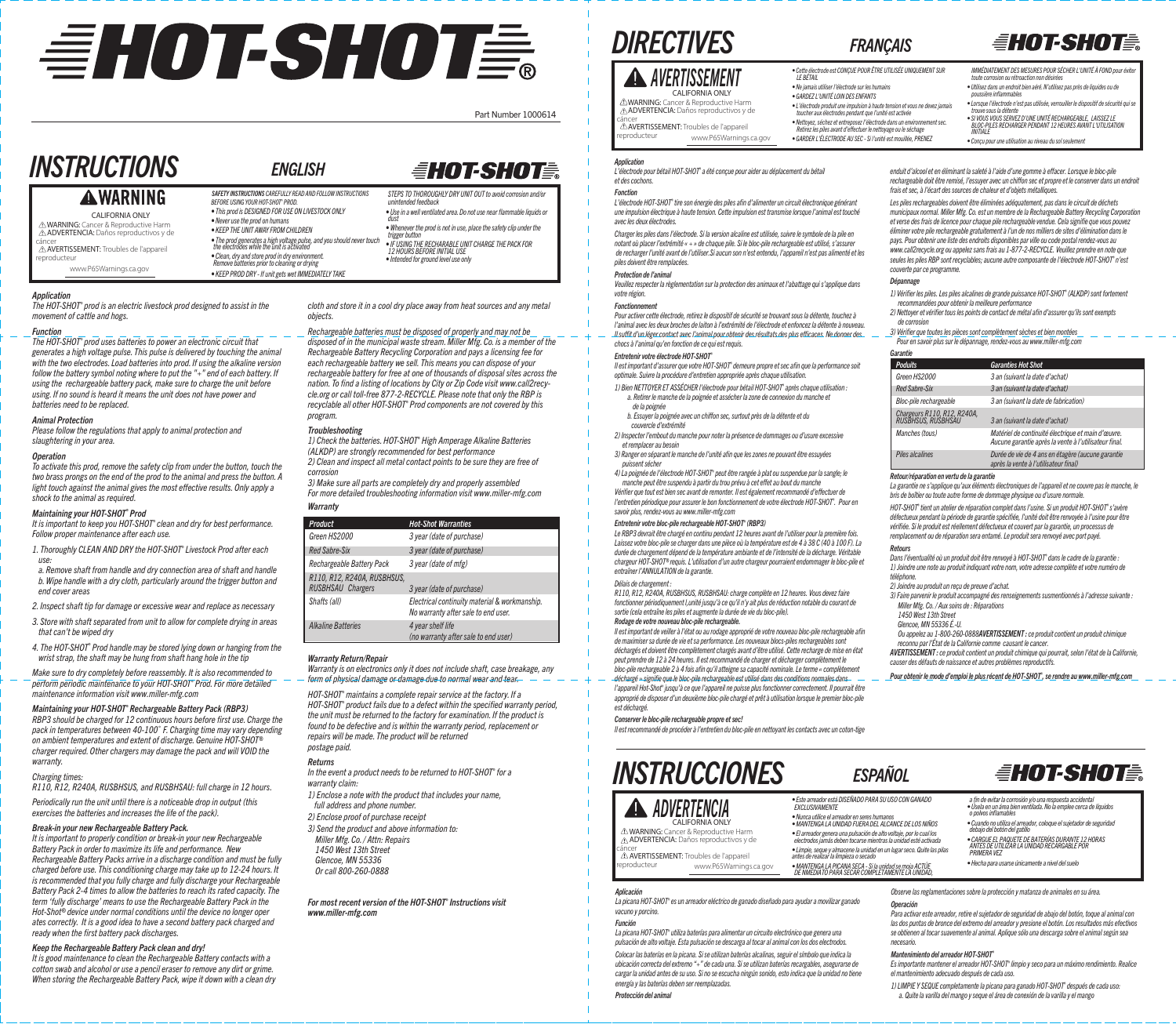# EHOT-SHOTE.

Part Number 1000614

# *INSTRUCTIONS ENGLISH*

### **AWARNING**

CALIFORNIA ONLY **∆WARNING:** Cancer & Reproductive Harm<br>**∆ADVERTENCIA:** Daños reproductivos y de cáncer<br>**∆AVERTISSEMENT:** Troubles de l'appareil

reproducteur

www.P65Warnings.ca.gov

#### *Application*

*The HOT-SHOT® prod is an electric livestock prod designed to assist in the movement of cattle and hogs.*

#### *Function*

*The HOT-SHOT® prod uses batteries to power an electronic circuit that generates a high voltage pulse. This pulse is delivered by touching the animal with the two electrodes. Load batteries into prod. If using the alkaline version follow the battery symbol noting where to put the "+" end of each battery. If using the rechargeable battery pack, make sure to charge the unit before using. If no sound is heard it means the unit does not have power and batteries need to be replaced.*

#### *Animal Protection*

*Please follow the regulations that apply to animal protection and slaughtering in your area.*

#### *Operation*

*To activate this prod, remove the safety clip from under the button, touch the two brass prongs on the end of the prod to the animal and press the button. A light touch against the animal gives the most effective results. Only apply a shock to the animal as required.*

#### *Maintaining your HOT-SHOT® Prod*

*It is important to keep you HOT-SHOT® clean and dry for best performance. Follow proper maintenance after each use.*

*1. Thoroughly CLEAN AND DRY the HOT-SHOT® Livestock Prod after each use:*

*a. Remove shaft from handle and dry connection area of shaft and handle b. Wipe handle with a dry cloth, particularly around the trigger button and end cover areas*

*2. Inspect shaft tip for damage or excessive wear and replace as necessary*

*3. Store with shaft separated from unit to allow for complete drying in areas that can't be wiped dry*

*4. The HOT-SHOT® Prod handle may be stored lying down or hanging from the wrist strap, the shaft may be hung from shaft hang hole in the tip* 

*Make sure to dry completely before reassembly. It is also recommended to perform periodic maintenance to your HOT-SHOT® Prod. For more detailed maintenance information visit www.miller-mfg.com*

*Maintaining your HOT-SHOT® Rechargeable Battery Pack (RBP3) RBP3 should be charged for 12 continuous hours before first use. Charge the* 

*pack in temperatures between 40-100˚ F. Charging time may vary depending on ambient temperatures and extent of discharge. Genuine HOT-SHOT® charger required. Other chargers may damage the pack and will VOID the warranty.*

#### *Charging times:*

*R110, R12, R240A, RUSBHSUS, and RUSBHSAU: full charge in 12 hours. Periodically run the unit until there is a noticeable drop in output (this* 

*exercises the batteries and increases the life of the pack).* 

#### *Break-in your new Rechargeable Battery Pack.*

*It is important to properly condition or break-in your new Rechargeable Battery Pack in order to maximize its life and performance. New Rechargeable Battery Packs arrive in a discharge condition and must be fully charged before use. This conditioning charge may take up to 12-24 hours. It is recommended that you fully charge and fully discharge your Rechargeable Battery Pack 2-4 times to allow the batteries to reach its rated capacity. The term 'fully discharge' means to use the Rechargeable Battery Pack in the Hot-Shot® device under normal conditions until the device no longer oper ates correctly. It is a good idea to have a second battery pack charged and ready when the first battery pack discharges.*

#### *Keep the Rechargeable Battery Pack clean and dry!*

*It is good maintenance to clean the Rechargeable Battery contacts with a cotton swab and alcohol or use a pencil eraser to remove any dirt or grime. When storing the Rechargeable Battery Pack, wipe it down with a clean dry* 

*SAFETY INSTRUCTIONS CAREFULLY READ AND FOLLOW INSTRUCTIONS* 

*BEFORE USING YOUR HOT-SHOT® PROD. • This prod is DESIGNED FOR USE ON LIVESTOCK ONLY*

*• Clean, dry and store prod in dry environment. Remove batteries prior to cleaning or drying • KEEP PROD DRY - If unit gets wet IMMEDIATELY TAKE* 

*• Never use the prod on humans • KEEP THE UNIT AWAY FROM CHILDREN*

### *EHOT-SHOTE*

*• The prod generates a high voltage pulse, and you should never touch the electrodes while the unit is activated STEPS TO THOROUGHLY DRY UNIT OUT to avoid corrosion and/or unintended feedback • Use in a well ventilated area. Do not use near flammable liquids or dust • Whenever the prod is not in use, place the safety clip under the trigger button*

*• IF USING THE RECHARABLE UNIT CHARGE THE PACK FOR 12 HOURS BEFORE INITIAL USE • Intended for ground level use only*

*cloth and store it in a cool dry place away from heat sources and any metal objects.*

#### *Rechargeable batteries must be disposed of properly and may not be*

*disposed of in the municipal waste stream. Miller Mfg. Co. is a member of the Rechargeable Battery Recycling Corporation and pays a licensing fee for each rechargeable battery we sell. This means you can dispose of your rechargeable battery for free at one of thousands of disposal sites across the nation. To find a listing of locations by City or Zip Code visit www.call2recycle.org or call toll-free 877-2-RECYCLE. Please note that only the RBP is recyclable all other HOT-SHOT® Prod components are not covered by this program.*

#### *Troubleshooting*

*1) Check the batteries. HOT-SHOT® High Amperage Alkaline Batteries (ALKDP) are strongly recommended for best performance 2) Clean and inspect all metal contact points to be sure they are free of corrosion*

*3) Make sure all parts are completely dry and properly assembled For more detailed troubleshooting information visit www.miller-mfg.com*

*Warranty*

| Product                                          | <b>Hot-Shot Warranties</b>                                                           |
|--------------------------------------------------|--------------------------------------------------------------------------------------|
| Green HS2000                                     | 3 year (date of purchase)                                                            |
| <b>Red Sabre-Six</b>                             | 3 year (date of purchase)                                                            |
| Rechargeable Battery Pack                        | 3 year (date of mfg)                                                                 |
| R110, R12, R240A, RUSBHSUS,<br>RUSBHSAU Chargers | 3 year (date of purchase)                                                            |
| Shafts (all)                                     | Electrical continuity material & workmanship.<br>No warranty after sale to end user. |
| <b>Alkaline Batteries</b>                        | 4 year shelf life<br>(no warranty after sale to end user)                            |

#### *Warranty Return/Repair*

*Warranty is on electronics only it does not include shaft, case breakage, any form of physical damage or damage due to normal wear and tear.* 

*HOT-SHOT® maintains a complete repair service at the factory. If a HOT-SHOT® product fails due to a defect within the specified warranty period, the unit must be returned to the factory for examination. If the product is found to be defective and is within the warranty period, replacement or repairs will be made. The product will be returned postage paid.*

#### *Returns*

*In the event a product needs to be returned to HOT-SHOT® for a warranty claim:*

*1) Enclose a note with the product that includes your name, full address and phone number.*

- *2) Enclose proof of purchase receipt 3) Send the product and above information to:*
- *Miller Mfg. Co. / Attn: Repairs 1450 West 13th Street*
- *Glencoe, MN 55336 Or call 800-260-0888*
- 

*For most recent version of the HOT-SHOT® Instructions visit www.miller-mfg.com*

# *DIRECTIVES FRANÇAIS*

#### *AVERTISSEMENT* CALIFORNIA ONLY WARNING: Cancer & Reproductive Harm ADVERTENCIA: Daños reproductivos y de

cáncer<br>**∆AVERTISSEMENT:** Troubles de l'appareil

*• Cette électrode est CONÇUE POUR ÊTRE UTILISÉE UNIQUEMENT SUR LE BÉTAIL • Ne jamais utiliser l'électrode sur les humains • GARDEZ L'UNITÉ LOIN DES ENFANTS*

- *L'électrode produit une impulsion à haute tension et vous ne devez jamais toucher aux électrodes pendant que l'unité est activée*
- *Nettoyez, séchez et entreposez l'électrode dans un environnement sec. Retirez les piles avant d'eectuer le nettoyage ou le séchage • GARDER L'ÉLECTRODE AU SEC - Si l'unité est mouillée, PRENEZ*
- 

*Application L'électrode pour bétail HOT-SHOT® a été conçue pour aider au déplacement du bétail et des cochons.*

www.P65Warnings.ca.gov

#### *Fonction*

reproducteur

*L'électrode HOT-SHOT® tire son énergie des piles afin d'alimenter un circuit électronique générant une impulsion électrique à haute tension. Cette impulsion est transmise lorsque l'animal est touché avec les deux électrodes.*

*Charger les piles dans l'électrode. Si la version alcaline est utilisée, suivre le symbole de la pile en notant où placer l'extrémité « + » de chaque pile. Si le bloc-pile rechargeable est utilisé, s'assurer de recharger l'unité avant de l'utiliser.Si aucun son n'est entendu, l'appareil n'est pas alimenté et les piles doivent être remplacées.*

#### *Protection de l'animal*

*Veuillez respecter la règlementation sur la protection des animaux et l'abattage qui s'applique dans votre région.*

#### *Fonctionnement*

*Pour activer cette électrode, retirez le dispositif de sécurité se trouvant sous la détente, touchez à l'animal avec les deux broches de laiton à l'extrémité de l'électrode et enfoncez la détente à nouveau. Il sut d'un léger contact avec l'animal pour obtenir des résultats des plus ecaces. Ne donner des chocs à l'animal qu'en fonction de ce qui est requis.*

#### *Entretenir votre électrode HOT-SHOT®*

*Il est important d'assurer que votre HOT-SHOT® demeure propre et sec afin que la performance soit optimale. Suivre la procédure d'entretien appropriée après chaque utilisation.*

- *1) Bien NETTOYER ET ASSÉCHER l'électrode pour bétail HOT-SHOT® après chaque utilisation : a. Retirer le manche de la poignée et assécher la zone de connexion du manche et*
- *de la poignée*
- b. Essuyer la poignée avec un chiffon sec, surtout près de la détente et du  *couvercle d'extrémité*

*2) Inspecter l'embout du manche pour noter la présence de dommages ou d'usure excessive et remplacer au besoin*

*3) Ranger en séparant le manche de l'unité afin que les zones ne pouvant être essuyées* 

*puissent sécher 4) La poignée de l'électrode HOT-SHOT® peut être rangée à plat ou suspendue par la sangle; le* 

*manche peut être suspendu à partir du trou prévu à cet eet au bout du manche*  Vérifier que tout est bien sec avant de remonter. Il est également recommandé d'effectuer de *l'entretien périodique pour assurer le bon fonctionnement de votre électrode HOT-SHOT® . Pour en savoir plus, rendez-vous au www.miller-mfg.com*

#### *Entretenir votre bloc-pile rechargeable HOT-SHOT® (RBP3)*

*Le RBP3 devrait être chargé en continu pendant 12 heures avant de l'utiliser pour la première fois. Laissez votre bloc-pile se charger dans une pièce où la température est de 4 à 38 C (40 à 100 F). La durée de chargement dépend de la température ambiante et de l'intensité de la décharge. Véritable chargeur HOT-SHOT® requis. L'utilisation d'un autre chargeur pourraient endommager le bloc-pile et entraîner l'ANNULATION de la garantie.*

#### *Délais de chargement :*

*R110, R12, R240A, RUSBHSUS, RUSBHSAU: charge complète en 12 heures. Vous devez faire fonctionner périodiquement l,unité jusqu'à ce qu'il n'y ait plus de réduction notable du courant de sortie (cela entraîne les piles et augmente la durée de vie du bloc-pile).* 

#### *Rodage de votre nouveau bloc-pile rechargeable.*

*Il est important de veiller à l'état ou au rodage approprié de votre nouveau bloc-pile rechargeable afin de maximiser sa durée de vie et sa performance. Les nouveaux blocs-piles rechargeables sont déchargés et doivent être complètement chargés avant d'être utilisé. Cette recharge de mise en état peut prendre de 12 à 24 heures. Il est recommandé de charger et décharger complètement le bloc-pile rechargeable 2 à 4 fois afin qu'il atteigne sa capacité nominale. Le terme « complètement déchargé » signifie que le bloc-pile rechargeable est utilisé dans des conditions normales dans l'appareil Hot-Shot® jusqu'à ce que l'appareil ne puisse plus fonctionner correctement. Il pourrait être approprié de disposer d'un deuxième bloc-pile chargé et prêt à utilisation lorsque le premier bloc-pile est déchargé.*

#### *Conserver le bloc-pile rechargeable propre et sec!*

*Il est recommandé de procéder à l'entretien du bloc-pile en nettoyant les contacts avec un coton-tige* 

www.P65Warnings.ca.gov

*La picana HOT-SHOT® es un arreador eléctrico de ganado diseñado para ayudar a movilizar ganado* 

*La picana HOT-SHOT® utiliza baterías para alimentar un circuito electrónico que genera una pulsación de alto voltaje. Esta pulsación se descarga al tocar al animal con los dos electrodos. Colocar las baterías en la picana. Si se utilizan baterías alcalinas, seguir el símbolo que indica la ubicación correcta del extremo "+" de cada una. Si se utilizan baterías recargables, asegurarse de cargar la unidad antes de su uso. Si no se escucha ningún sonido, esto indica que la unidad no tiene* 

# *INSTRUCCIONES ESPAÑOL*

#### *ADVERTENCIA* CALIFORNIA ONLY

cáncer<br>⊿∆ **AVERTISSEMENT:** Troubles de l'appareil

*energía y las baterías deben ser reemplazadas.*

*Aplicación*

*vacuno y porcino. Función*

reproducteur

*Protección del animal*

 WARNING: Cancer & Reproductive Harm ADVERTENCIA: Daños reproductivos y de *• El arreador genera una pulsación de alto voltaje, por lo cual los electrodos jamás deben tocarse mientras la unidad esté activada*

*• Limpie, seque y almacene la unidad en un lugar seco. Quite las pilas antes de realizar la limpieza o secado*

### *• MANTENGA LA PICANA SECA - Si la unidad se moja ACTÚE DE NMEDIATO PARA SECAR COMPLETAMENTE LA UNIDAD,*

*• Este arreador está DISEÑADO PARA SU USO CON GANADO EXCLUSIVAMENTE • Nunca utilice el arreador en seres humanos • MANTENGA LA UNIDAD FUERA DEL ALCANCE DE LOS NIÑOS*

#### *Observe las reglamentaciones sobre la protección y matanza de animales en su área.*

 *o polvos inflamables*

 *debajo del botón del gatillo*

*Operación Para activar este arreador, retire el sujetador de seguridad de abajo del botón, toque al animal con* 

#### *las dos puntas de bronce del extremo del arreador y presione el botón. Los resultados más efectivos se obtienen al tocar suavemente al animal. Aplique sólo una descarga sobre el animal según sea necesario.*

 *a fin de evitar la corrosión y/o una respuesta accidental • Úsela en un área bien ventilada. No la emplee cerca de líquidos* 

*EHOT-SHOTE* 

*• Cuando no utiliza el arreador, coloque el sujetador de seguridad* 

*• CARGUE EL PAQUETE DE BATERÍAS DURANTE 12 HORAS ANTES DE UTILIZAR LA UNIDAD RECARGABLE POR PRIMERA VEZ • Hecha para usarse únicamente a nivel del suelo*

#### *Mantenimiento del arreador HOT-SHOT®*

Es importante mantener el arreador HOT-SHOT<sup>®</sup> limpio y seco para un máximo rendimiento. Realice *el mantenimiento adecuado después de cada uso.*

*1) LIMPIE Y SEQUE completamente la picana para ganado HOT-SHOT® después de cada uso: a. Quite la varilla del mango y seque el área de conexión de la varilla y el mango*

# *EHOT-SHOTE*

*IMMÉDIATEMENT DES MESURES POUR SÉCHER L'UNITÉ À FOND pour évi toute corrosion ou rétroaction non désirées • Utilisez dans un endroit bien aéré. N'utilisez pas près de liquides ou de* 

*• Lorsque l'électrode n'est pas utilisée, verrouiller le dispositif de sécurité qui se trouve sous la détente • SI VOUS VOUS SERVEZ D'UNE UNITÉ RECHARGEABLE, LAISSEZ LE BLOC-PILES RECHARGER PENDANT 12 HEURES AVANT L'UTILISATION* 

enduit d'alcool et en éliminant la saleté à l'aide d'une gomme à effacer. Lorsque le bloc-pile *rechargeable doit être remisé, l'essuyer avec un chion sec et propre et le conserver dans un endroit* 

*• Conçu pour une utilisation au niveau du sol seulement*

*poussière inflammables*

*Les piles rechargeables doivent être éliminées adéquatement, pas dans le circuit de déchets municipaux normal. Miller Mfg. Co. est un membre de la Rechargeable Battery Recycling Corporation et verse des frais de licence pour chaque pile rechargeable vendue. Cela signifie que vous pouvez éliminer votre pile rechargeable gratuitement à l'un de nos milliers de sites d'élimination dans le pays. Pour obtenir une liste des endroits disponibles par ville ou code postal rendez-vous au www.call2recycle.org ou appelez sans frais au 1-877-2-RECYCLE. Veuillez prendre en note que seules les piles RBP sont recyclables; aucune autre composante de l'électrode HOT-SHOT® n'est* 

*1) Vérifier les piles. Les piles alcalines de grande puissance HOT-SHOT® (ALKDP) sont fortement* 

*Green HS2000 3 an (suivant la date d'achat)*

*RUSBHSUS, RUSBHSAU 3 an (suivant la date d'achat) Manches (tous) Matériel de continuité électrique et main d'œuvre.*

 *Aucune garantie après la vente à l'utilisateur final.*

*La garantie ne s'applique qu'aux éléments électroniques de l'appareil et ne couvre pas le manche, le* 

*Piles alcalines Durée de vie de 4 ans en étagère (aucune garantie après la vente à l'utilisateur final)*

*HOT-SHOT® tient un atelier de réparation complet dans l'usine. Si un produit HOT-SHOT® s'avère défectueux pendant la période de garantie spécifiée, l'unité doit être renvoyée à l'usine pour être vérifiée. Si le produit est réellement défectueux et couvert par la garantie, un processus de remplacement ou de réparation sera entamé. Le produit sera renvoyé avec port payé.*

*Dans l'éventualité où un produit doit être renvoyé à HOT-SHOT® dans le cadre de la garantie : 1) Joindre une note au produit indiquant votre nom, votre adresse complète et votre numéro de* 

*3) Faire parvenir le produit accompagné des renseignements susmentionnés à l'adresse suivante :*

*Ou appelez au 1-800-260-0888AVERTISSEMENT : ce produit contient un produit chimique reconnu par l'État de la Californie comme causant le cancer. AVERTISSEMENT : ce produit contient un produit chimique qui pourrait, selon l'état de la Californie,* 

*Pour obtenir le mode d'emploi le plus récent de HOT-SHOT® , se rendre au www.miller-mfg.com*

*bris de boîtier ou toute autre forme de dommage physique ou d'usure normale.* 

*2) Nettoyer et vérifier tous les points de contact de métal afin d'assurer qu'ils sont exempts* 

*3) Vérifier que toutes les pièces sont complètement sèches et bien montées Pour en savoir plus sur le dépannage, rendez-vous au www.miller-mfg.com*

*Red Sabre-Six 3 an (suivant la date d'achat) Bloc-pile rechargeable 3 an (suivant la date de fabrication)*

*frais et sec, à l'écart des sources de chaleur et d'objets métalliques.*

*INITIALE*

*recommandées pour obtenir la meilleure performance*

*Poduits Garanties Hot Shot*

*Retour/réparation en vertu de la garantie*

*Chargeurs R110, R12, R240A,*

*2) Joindre au produit un reçu de preuve d'achat.*

*Miller Mfg. Co. / Aux soins de : Réparations 1450 West 13th Street Glencoe, MN 55336 É.-U.*

*causer des défauts de naissance et autres problèmes reproductifs.*

*couverte par ce programme. Dépannage*

*de corrosion*

*Garantie*

*Retours*

*téléphone.*